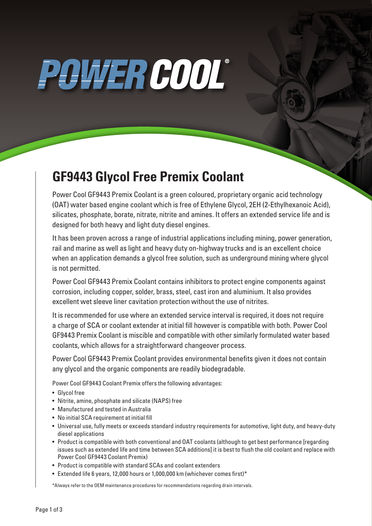# POWER COOL®

### **GF9443 Glycol Free Premix Coolant**

Power Cool GF9443 Premix Coolant is a green coloured, proprietary organic acid technology (OAT) water based engine coolant which is free of Ethylene Glycol, 2EH (2-Ethylhexanoic Acid), silicates, phosphate, borate, nitrate, nitrite and amines. It offers an extended service life and is designed for both heavy and light duty diesel engines.

It has been proven across a range of industrial applications including mining, power generation, rail and marine as well as light and heavy duty on-highway trucks and is an excellent choice when an application demands a glycol free solution, such as underground mining where glycol is not permitted.

Power Cool GF9443 Premix Coolant contains inhibitors to protect engine components against corrosion, including copper, solder, brass, steel, cast iron and aluminium. It also provides excellent wet sleeve liner cavitation protection without the use of nitrites.

It is recommended for use where an extended service interval is required, it does not require a charge of SCA or coolant extender at initial fill however is compatible with both. Power Cool GF9443 Premix Coolant is miscible and compatible with other similarly formulated water based coolants, which allows for a straightforward changeover process.

Power Cool GF9443 Premix Coolant provides environmental benefits given it does not contain any glycol and the organic components are readily biodegradable.

Power Cool GF9443 Coolant Premix offers the following advantages:

- Glycol free
- Nitrite, amine, phosphate and silicate (NAPS) free
- Manufactured and tested in Australia
- No initial SCA requirement at initial fill
- Universal use, fully meets or exceeds standard industry requirements for automotive, light duty, and heavy-duty diesel applications
- Product is compatible with both conventional and OAT coolants (although to get best performance [regarding issues such as extended life and time between SCA additions] it is best to flush the old coolant and replace with Power Cool GF9443 Coolant Premix)
- Product is compatible with standard SCAs and coolant extenders
- Extended life 6 years, 12,000 hours or 1,000,000 km (whichever comes first)\*

\*Always refer to the OEM maintenance procedures for recommendations regarding drain intervals.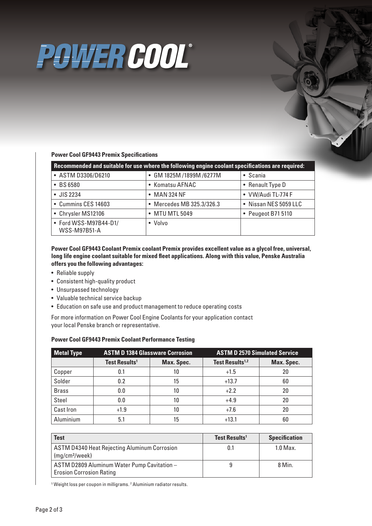## POWER COOL®

#### **Power Cool GF9443 Premix Specifications**

| Recommended and suitable for use where the following engine coolant specifications are required: |                           |                       |  |  |  |
|--------------------------------------------------------------------------------------------------|---------------------------|-----------------------|--|--|--|
| • ASTM D3306/D6210                                                                               | • GM 1825M /1899M /6277M  | • Scania              |  |  |  |
| • BS 6580                                                                                        | • Komatsu AFNAC           | • Renault Type D      |  |  |  |
| • JIS 2234                                                                                       | • MAN 324 NF              | • VW/Audi TL-774 F    |  |  |  |
| • Cummins CES 14603                                                                              | • Mercedes MB 325.3/326.3 | • Nissan NES 5059 LLC |  |  |  |
| • Chrysler MS12106                                                                               | • MTU MTL 5049            | • Peugeot B71 5110    |  |  |  |
| • Ford WSS-M97B44-D1/<br><b>WSS-M97B51-A</b>                                                     | • Volvo                   |                       |  |  |  |

**Power Cool GF9443 Coolant Premix coolant Premix provides excellent value as a glycol free, universal, long life engine coolant suitable for mixed fleet applications. Along with this value, Penske Australia offers you the following advantages:**

- Reliable supply
- Consistent high-quality product
- Unsurpassed technology
- Valuable technical service backup
- Education on safe use and product management to reduce operating costs

For more information on Power Cool Engine Coolants for your application contact your local Penske branch or representative.

| <b>Metal Type</b> | <b>ASTM D 1384 Glassware Corrosion</b> |            | <b>ASTM D 2570 Simulated Service</b> |            |
|-------------------|----------------------------------------|------------|--------------------------------------|------------|
|                   | <b>Test Results<sup>1</sup></b>        | Max. Spec. | Test Results <sup>1,2</sup>          | Max. Spec. |
| Copper            | 0.1                                    | 10         | $+1.5$                               | 20         |
| Solder            | 0.2                                    | 15         | $+13.7$                              | 60         |
| <b>Brass</b>      | 0.0                                    | 10         | $+2.2$                               | 20         |
| Steel             | 0.0                                    | 10         | $+4.9$                               | 20         |
| <b>Cast Iron</b>  | $+1.9$                                 | 10         | $+7.6$                               | 20         |
| Aluminium         | 5.1                                    | 15         | $+13.1$                              | 60         |

#### **Power Cool GF9443 Premix Coolant Performance Testing**

| <b>Test</b>                                                                       | Test Results <sup>1</sup> | <b>Specification</b> |
|-----------------------------------------------------------------------------------|---------------------------|----------------------|
| <b>ASTM D4340 Heat Rejecting Aluminum Corrosion</b><br>(mg/cm <sup>2</sup> /week) | 0.1                       | $1.0$ Max.           |
| ASTM D2809 Aluminum Water Pump Cavitation -<br><b>Erosion Corrosion Rating</b>    |                           | 8 Min.               |

<sup>1</sup> Weight loss per coupon in milligrams. <sup>2</sup> Aluminium radiator results.